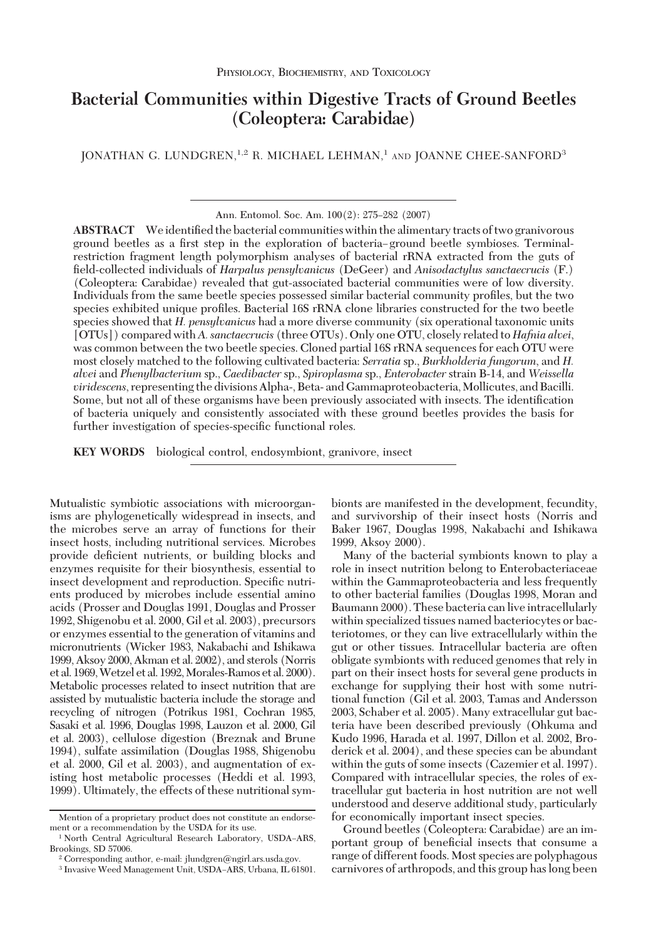# **Bacterial Communities within Digestive Tracts of Ground Beetles (Coleoptera: Carabidae)**

JONATHAN G. LUNDGREN,<sup>1,2</sup> R. MICHAEL LEHMAN,<sup>1</sup> AND JOANNE CHEE-SANFORD<sup>3</sup>

Ann. Entomol. Soc. Am. 100(2): 275-282 (2007)

ABSTRACT We identified the bacterial communities within the alimentary tracts of two granivorous ground beetles as a first step in the exploration of bacteria–ground beetle symbioses. Terminalrestriction fragment length polymorphism analyses of bacterial rRNA extracted from the guts of Þeld-collected individuals of *Harpalus pensylvanicus* (DeGeer) and *Anisodactylus sanctaecrucis* (F.) (Coleoptera: Carabidae) revealed that gut-associated bacterial communities were of low diversity. Individuals from the same beetle species possessed similar bacterial community profiles, but the two species exhibited unique profiles. Bacterial 16S rRNA clone libraries constructed for the two beetle species showed that *H. pensylvanicus* had a more diverse community (six operational taxonomic units [OTUs]) compared with*A. sanctaecrucis* (three OTUs). Only one OTU, closely related to *Hafnia alvei*, was common between the two beetle species. Cloned partial 16S rRNA sequences for each OTU were most closely matched to the following cultivated bacteria: *Serratia* sp., *Burkholderia fungorum*, and *H. alvei* and *Phenylbacterium* sp., *Caedibacter* sp., *Spiroplasma* sp., *Enterobacter* strain B-14, and *Weissella viridescens*, representing the divisions Alpha-, Beta- and Gammaproteobacteria, Mollicutes, and Bacilli. Some, but not all of these organisms have been previously associated with insects. The identification of bacteria uniquely and consistently associated with these ground beetles provides the basis for further investigation of species-specific functional roles.

**KEY WORDS** biological control, endosymbiont, granivore, insect

Mutualistic symbiotic associations with microorganisms are phylogenetically widespread in insects, and the microbes serve an array of functions for their insect hosts, including nutritional services. Microbes provide deficient nutrients, or building blocks and enzymes requisite for their biosynthesis, essential to insect development and reproduction. Specific nutrients produced by microbes include essential amino acids (Prosser and Douglas 1991, Douglas and Prosser 1992, Shigenobu et al. 2000, Gil et al. 2003), precursors or enzymes essential to the generation of vitamins and micronutrients (Wicker 1983, Nakabachi and Ishikawa 1999, Aksoy 2000, Akman et al. 2002), and sterols (Norris et al. 1969,Wetzel et al. 1992,Morales-Ramos et al. 2000). Metabolic processes related to insect nutrition that are assisted by mutualistic bacteria include the storage and recycling of nitrogen (Potrikus 1981, Cochran 1985, Sasaki et al. 1996, Douglas 1998, Lauzon et al. 2000, Gil et al. 2003), cellulose digestion (Breznak and Brune 1994), sulfate assimilation (Douglas 1988, Shigenobu et al. 2000, Gil et al. 2003), and augmentation of existing host metabolic processes (Heddi et al. 1993, 1999). Ultimately, the effects of these nutritional symbionts are manifested in the development, fecundity, and survivorship of their insect hosts (Norris and Baker 1967, Douglas 1998, Nakabachi and Ishikawa 1999, Aksoy 2000).

Many of the bacterial symbionts known to play a role in insect nutrition belong to Enterobacteriaceae within the Gammaproteobacteria and less frequently to other bacterial families (Douglas 1998, Moran and Baumann 2000). These bacteria can live intracellularly within specialized tissues named bacteriocytes or bacteriotomes, or they can live extracellularly within the gut or other tissues. Intracellular bacteria are often obligate symbionts with reduced genomes that rely in part on their insect hosts for several gene products in exchange for supplying their host with some nutritional function (Gil et al. 2003, Tamas and Andersson 2003, Schaber et al. 2005). Many extracellular gut bacteria have been described previously (Ohkuma and Kudo 1996, Harada et al. 1997, Dillon et al. 2002, Broderick et al. 2004), and these species can be abundant within the guts of some insects (Cazemier et al. 1997). Compared with intracellular species, the roles of extracellular gut bacteria in host nutrition are not well understood and deserve additional study, particularly for economically important insect species.

Ground beetles (Coleoptera: Carabidae) are an important group of beneficial insects that consume a range of different foods. Most species are polyphagous carnivores of arthropods, and this group has long been

Mention of a proprietary product does not constitute an endorsement or a recommendation by the USDA for its use.

 $1$  North Central Agricultural Research Laboratory, USDA-ARS, Brookings, SD 57006.

 $^2$  Corresponding author, e-mail: jlundgren@ngirl.ars.usda.gov.

 $3$  Invasive Weed Management Unit, USDA-ARS, Urbana, IL 61801.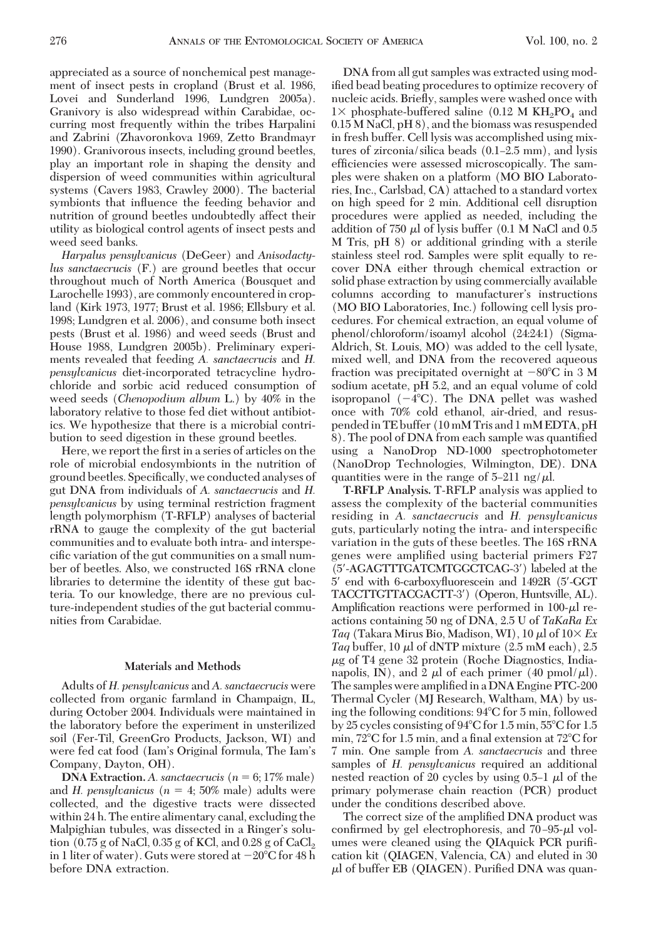appreciated as a source of nonchemical pest management of insect pests in cropland (Brust et al. 1986, Lovei and Sunderland 1996, Lundgren 2005a). Granivory is also widespread within Carabidae, occurring most frequently within the tribes Harpalini and Zabrini (Zhavoronkova 1969, Zetto Brandmayr 1990). Granivorous insects, including ground beetles, play an important role in shaping the density and dispersion of weed communities within agricultural systems (Cavers 1983, Crawley 2000). The bacterial symbionts that inßuence the feeding behavior and nutrition of ground beetles undoubtedly affect their utility as biological control agents of insect pests and weed seed banks.

*Harpalus pensylvanicus* (DeGeer) and *Anisodactylus sanctaecrucis* (F.) are ground beetles that occur throughout much of North America (Bousquet and Larochelle 1993), are commonly encountered in cropland (Kirk 1973, 1977; Brust et al. 1986; Ellsbury et al. 1998; Lundgren et al. 2006), and consume both insect pests (Brust et al. 1986) and weed seeds (Brust and House 1988, Lundgren 2005b). Preliminary experiments revealed that feeding *A. sanctaecrucis* and *H. pensylvanicus* diet-incorporated tetracycline hydrochloride and sorbic acid reduced consumption of weed seeds (*Chenopodium album* L.) by 40% in the laboratory relative to those fed diet without antibiotics. We hypothesize that there is a microbial contribution to seed digestion in these ground beetles.

Here, we report the first in a series of articles on the role of microbial endosymbionts in the nutrition of ground beetles. Specifically, we conducted analyses of gut DNA from individuals of *A. sanctaecrucis* and *H. pensylvanicus* by using terminal restriction fragment length polymorphism (T-RFLP) analyses of bacterial rRNA to gauge the complexity of the gut bacterial communities and to evaluate both intra- and interspecific variation of the gut communities on a small number of beetles. Also, we constructed 16S rRNA clone libraries to determine the identity of these gut bacteria. To our knowledge, there are no previous culture-independent studies of the gut bacterial communities from Carabidae.

# **Materials and Methods**

Adults of *H. pensylvanicus* and *A. sanctaecrucis* were collected from organic farmland in Champaign, IL, during October 2004. Individuals were maintained in the laboratory before the experiment in unsterilized soil (Fer-Til, GreenGro Products, Jackson, WI) and were fed cat food (Iam's Original formula, The Iam's Company, Dayton, OH).

**DNA Extraction.** *A. sanctaecrucis* (*n* 6; 17% male) and *H. pensylvanicus* ( $n = 4$ ; 50% male) adults were collected, and the digestive tracts were dissected within 24 h. The entire alimentary canal, excluding the Malpighian tubules, was dissected in a Ringer's solution  $(0.75 \text{ g of NaCl}, 0.35 \text{ g of KCl},$  and  $0.28 \text{ g of CaCl}_2$ in 1 liter of water). Guts were stored at  $-20^{\circ}\mathrm{C}$  for 48 h before DNA extraction.

DNA from all gut samples was extracted using modified bead beating procedures to optimize recovery of nucleic acids. Brießy, samples were washed once with  $1\times$  phosphate-buffered saline (0.12 M KH<sub>2</sub>PO<sub>4</sub> and 0.15 M NaCl, pH 8), and the biomass was resuspended in fresh buffer. Cell lysis was accomplished using mixtures of zirconia/silica beads  $(0.1–2.5 \text{ mm})$ , and lysis efficiencies were assessed microscopically. The samples were shaken on a platform (MO BIO Laboratories, Inc., Carlsbad, CA) attached to a standard vortex on high speed for 2 min. Additional cell disruption procedures were applied as needed, including the addition of 750  $\mu$ l of lysis buffer (0.1 M NaCl and 0.5) M Tris, pH 8) or additional grinding with a sterile stainless steel rod. Samples were split equally to recover DNA either through chemical extraction or solid phase extraction by using commercially available columns according to manufacturer's instructions (MO BIO Laboratories, Inc.) following cell lysis procedures. For chemical extraction, an equal volume of phenol/chloroform/isoamyl alcohol (24:24:1) (Sigma-Aldrich, St. Louis, MO) was added to the cell lysate, mixed well, and DNA from the recovered aqueous fraction was precipitated overnight at  $-80^{\circ}\mathrm{C}$  in 3 M sodium acetate, pH 5.2, and an equal volume of cold isopropanol  $(-4^{\circ}C)$ . The DNA pellet was washed once with 70% cold ethanol, air-dried, and resuspended in TE buffer (10 mM Tris and 1 mM EDTA, pH 8). The pool of DNA from each sample was quantified using a NanoDrop ND-1000 spectrophotometer (NanoDrop Technologies, Wilmington, DE). DNA quantities were in the range of 5–211 ng/ $\mu$ l.

**T-RFLP Analysis.** T-RFLP analysis was applied to assess the complexity of the bacterial communities residing in *A. sanctaecrucis* and *H. pensylvanicus* guts, particularly noting the intra- and interspecific variation in the guts of these beetles. The 16S rRNA genes were amplified using bacterial primers F27 (5-AGAGTTTGATCMTGGCTCAG-3) labeled at the 5' end with 6-carboxyfluorescein and 1492R (5'-GGT TACCTTGTTACGACTT-3) (Operon, Huntsville, AL). Amplification reactions were performed in  $100-\mu l$  reactions containing 50 ng of DNA, 2.5 U of *TaKaRa Ex Taq* (Takara Mirus Bio, Madison, WI), 10  $\mu$ l of 10 $\times$  *Ex* Taq buffer, 10  $\mu$ l of dNTP mixture (2.5 mM each), 2.5  $\mu$ g of T4 gene 32 protein (Roche Diagnostics, Indianapolis, IN), and 2  $\mu$  of each primer (40 pmol/ $\mu$ ). The samples were amplified in a DNA Engine PTC-200 Thermal Cycler (MJ Research, Waltham, MA) by using the following conditions: 94°C for 5 min, followed by 25 cycles consisting of  $94^{\circ}$ C for  $1.5$  min,  $55^{\circ}$ C for  $1.5$ min,  $72^{\circ}$ C for 1.5 min, and a final extension at  $72^{\circ}$ C for 7 min. One sample from *A. sanctaecrucis* and three samples of *H. pensylvanicus* required an additional nested reaction of 20 cycles by using  $0.5-1$   $\mu$ l of the primary polymerase chain reaction (PCR) product under the conditions described above.

The correct size of the amplified DNA product was confirmed by gel electrophoresis, and  $70 - 95 - \mu l$  volumes were cleaned using the QIAquick PCR puriÞcation kit (QIAGEN, Valencia, CA) and eluted in 30  $\mu$ l of buffer EB (QIAGEN). Purified DNA was quan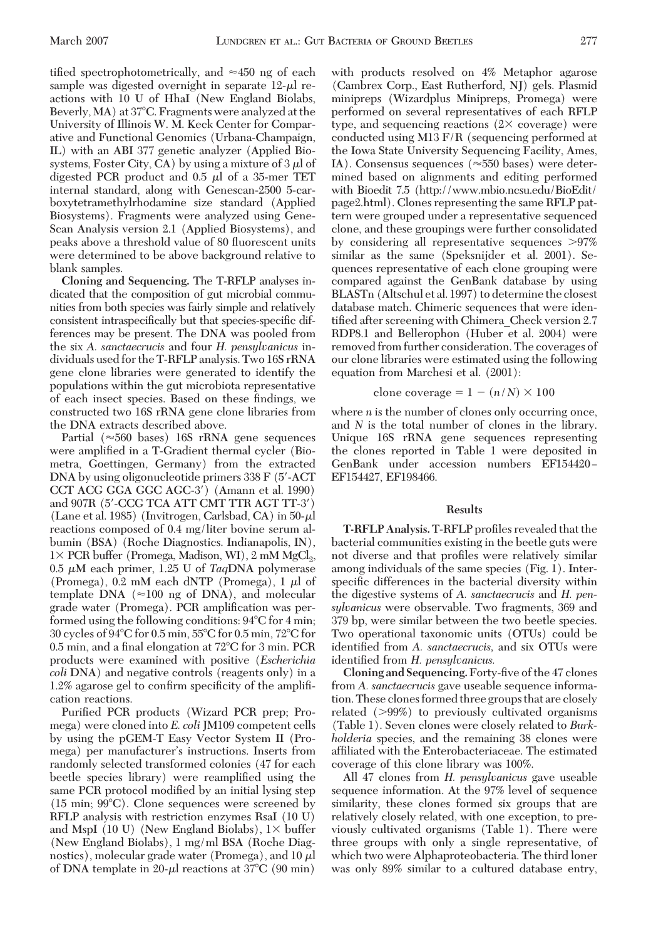tified spectrophotometrically, and  $\approx 450$  ng of each sample was digested overnight in separate  $12-\mu l$  reactions with 10 U of HhaI (New England Biolabs, Beverly, MA) at 37°C. Fragments were analyzed at the University of Illinois W. M. Keck Center for Comparative and Functional Genomics (Urbana-Champaign, IL) with an ABI 377 genetic analyzer (Applied Biosystems, Foster City, CA) by using a mixture of  $3 \mu$  of digested PCR product and  $0.5 \mu l$  of a 35-mer TET internal standard, along with Genescan-2500 5-carboxytetramethylrhodamine size standard (Applied Biosystems). Fragments were analyzed using Gene-Scan Analysis version 2.1 (Applied Biosystems), and peaks above a threshold value of 80 ßuorescent units were determined to be above background relative to blank samples.

**Cloning and Sequencing.** The T-RFLP analyses indicated that the composition of gut microbial communities from both species was fairly simple and relatively consistent intraspecifically but that species-specific differences may be present. The DNA was pooled from the six *A. sanctaecrucis* and four *H. pensylvanicus* individuals used for the T-RFLP analysis. Two 16S rRNA gene clone libraries were generated to identify the populations within the gut microbiota representative of each insect species. Based on these findings, we constructed two 16S rRNA gene clone libraries from the DNA extracts described above.

Partial ( $\approx 560$  bases) 16S rRNA gene sequences were amplified in a T-Gradient thermal cycler (Biometra, Goettingen, Germany) from the extracted DNA by using oligonucleotide primers 338 F (5'-ACT) CCT ACG GGA GGC AGC-3) (Amann et al. 1990) and 907R (5-CCG TCA ATT CMT TTR AGT TT-3) (Lane et al. 1985) (Invitrogen, Carlsbad, CA) in  $50-\mu$ l reactions composed of 0.4 mg/liter bovine serum albumin (BSA) (Roche Diagnostics. Indianapolis, IN),  $1 \times$  PCR buffer (Promega, Madison, WI), 2 mM MgCl<sub>2</sub>,  $0.5 \mu M$  each primer, 1.25 U of *Taq*DNA polymerase (Promega), 0.2 mM each dNTP (Promega), 1  $\mu$ l of template DNA ( $\approx$ 100 ng of DNA), and molecular grade water (Promega). PCR amplification was performed using the following conditions:  $94^{\circ}$ C for 4 min; 30 cycles of  $94^{\circ}$ C for 0.5 min,  $55^{\circ}$ C for 0.5 min,  $72^{\circ}$ C for 0.5 min, and a final elongation at  $72^{\circ}$ C for 3 min. PCR products were examined with positive (*Escherichia coli* DNA) and negative controls (reagents only) in a 1.2% agarose gel to confirm specificity of the amplification reactions.

Purified PCR products (Wizard PCR prep; Promega) were cloned into *E. coli*JM109 competent cells by using the pGEM-T Easy Vector System II (Promega) per manufacturer's instructions. Inserts from randomly selected transformed colonies (47 for each beetle species library) were reamplified using the same PCR protocol modified by an initial lysing step  $(15 \text{ min}; 99^{\circ}\text{C})$ . Clone sequences were screened by RFLP analysis with restriction enzymes RsaI (10 U) and MspI (10 U) (New England Biolabs),  $1\times$  buffer (New England Biolabs), 1 mg/ml BSA (Roche Diagnostics), molecular grade water (Promega), and  $10 \mu$ l of DNA template in  $20-\mu l$  reactions at 37°C (90 min)

with products resolved on 4% Metaphor agarose (Cambrex Corp., East Rutherford, NJ) gels. Plasmid minipreps (Wizardplus Minipreps, Promega) were performed on several representatives of each RFLP type, and sequencing reactions  $(2 \times$  coverage) were conducted using M13 F/R (sequencing performed at the Iowa State University Sequencing Facility, Ames, IA). Consensus sequences ( $\approx$ 550 bases) were determined based on alignments and editing performed with Bioedit 7.5 (http://www.mbio.ncsu.edu/BioEdit/ page2.html). Clones representing the same RFLP pattern were grouped under a representative sequenced clone, and these groupings were further consolidated by considering all representative sequences  $>97\%$ similar as the same (Speksnijder et al. 2001). Sequences representative of each clone grouping were compared against the GenBank database by using BLASTn (Altschul et al. 1997) to determine the closest database match. Chimeric sequences that were identified after screening with Chimera Check version 2.7 RDP8.1 and Bellerophon (Huber et al. 2004) were removed from further consideration. The coverages of our clone libraries were estimated using the following equation from Marchesi et al. (2001):

### clone coverage =  $1 - (n/N) \times 100$

where *n* is the number of clones only occurring once, and *N* is the total number of clones in the library. Unique 16S rRNA gene sequences representing the clones reported in Table 1 were deposited in GenBank under accession numbers EF154420-EF154427, EF198466.

### **Results**

**T-RFLP Analysis. T-RFLP profiles revealed that the** bacterial communities existing in the beetle guts were not diverse and that profiles were relatively similar among individuals of the same species (Fig. 1). Interspecific differences in the bacterial diversity within the digestive systems of *A. sanctaecrucis* and *H. pensylvanicus* were observable. Two fragments, 369 and 379 bp, were similar between the two beetle species. Two operational taxonomic units (OTUs) could be identified from A. sanctaecrucis, and six OTUs were identified from *H. pensylvanicus.* 

**Cloning and Sequencing.** Forty-five of the 47 clones from *A. sanctaecrucis* gave useable sequence information. These clones formed three groups that are closely related (99%) to previously cultivated organisms (Table 1). Seven clones were closely related to *Burkholderia* species, and the remaining 38 clones were affiliated with the Enterobacteriaceae. The estimated coverage of this clone library was 100%.

All 47 clones from *H. pensylvanicus* gave useable sequence information. At the 97% level of sequence similarity, these clones formed six groups that are relatively closely related, with one exception, to previously cultivated organisms (Table 1). There were three groups with only a single representative, of which two were Alphaproteobacteria. The third loner was only 89% similar to a cultured database entry,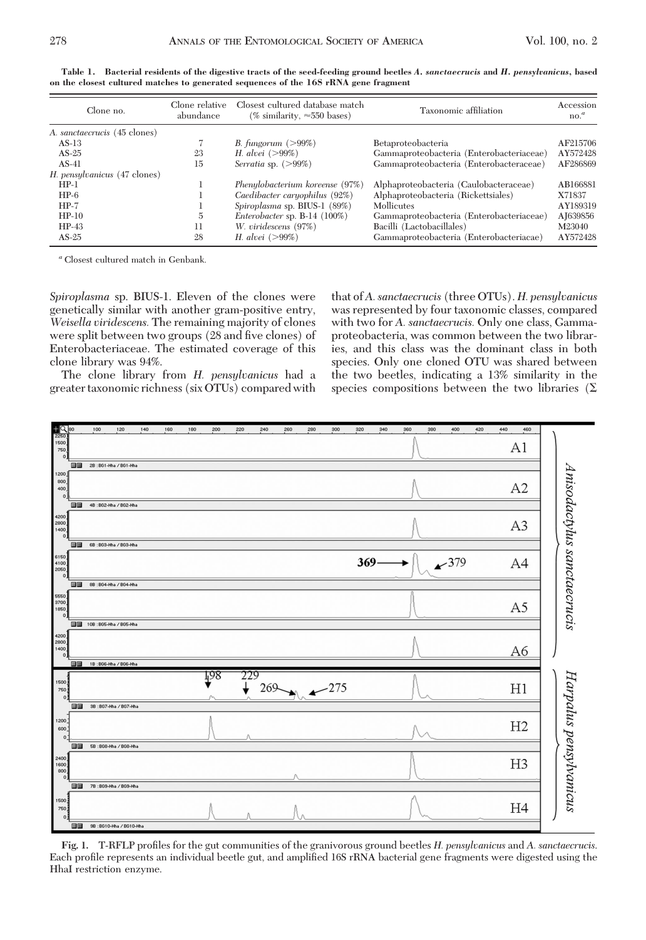| Clone no.                    | Clone relative<br>abundance | Closest cultured database match<br>(% similarity, $\approx 550$ bases) | Taxonomic affiliation                    | Accession<br>$no.^a$ |
|------------------------------|-----------------------------|------------------------------------------------------------------------|------------------------------------------|----------------------|
| A. sanctaecrucis (45 clones) |                             |                                                                        |                                          |                      |
| $AS-13$                      |                             | B. fungorum $(>99\%)$                                                  | Betaproteobacteria                       | AF215706             |
| $AS-25$                      | 23                          | <i>H. alvei</i> $(>99%)$                                               | Gammaproteobacteria (Enterobacteriaceae) | AY572428             |
| $AS-41$                      | 15                          | Serratia sp. $(>\!99\%)$                                               | Gammaproteobacteria (Enterobacteraceae)  | AF286869             |
| H. pensylvanicus (47 clones) |                             |                                                                        |                                          |                      |
| $HP-1$                       |                             | Phenylobacterium koreense (97%)                                        | Alphaproteobacteria (Caulobacteraceae)   | AB166881             |
| $HP-6$                       |                             | Caedibacter caryophilus (92%)                                          | Alphaproteobacteria (Rickettsiales)      | X71837               |
| $HP-7$                       |                             | Spiroplasma sp. BIUS-1 (89%)                                           | Mollicutes                               | AY189319             |
| $HP-10$                      | $\overline{5}$              | Enterobacter sp. $B-14$ (100%)                                         | Gammaproteobacteria (Enterobacteriaceae) | AJ639856             |
| $HP-43$                      | 11                          | W. viridescens (97%)                                                   | Bacilli (Lactobacillales)                | M23040               |
| $AS-25$                      | 28                          | <i>H. alvei</i> $(>99%)$                                               | Gammaproteobacteria (Enterobacteriacae)  | AY572428             |

**Table 1. Bacterial residents of the digestive tracts of the seed-feeding ground beetles** *A. sanctaecrucis* **and** *H. pensylvanicus,* **based on the closest cultured matches to generated sequences of the 16S rRNA gene fragment**

*<sup>a</sup>* Closest cultured match in Genbank.

*Spiroplasma* sp. BIUS-1. Eleven of the clones were genetically similar with another gram-positive entry, *Weisella viridescens.* The remaining majority of clones were split between two groups (28 and five clones) of Enterobacteriaceae. The estimated coverage of this clone library was 94%.

The clone library from *H. pensylvanicus* had a greater taxonomic richness (six OTUs) compared with

that of*A. sanctaecrucis* (three OTUs). *H. pensylvanicus* was represented by four taxonomic classes, compared with two for *A. sanctaecrucis.* Only one class, Gammaproteobacteria, was common between the two libraries, and this class was the dominant class in both species. Only one cloned OTU was shared between the two beetles, indicating a 13% similarity in the species compositions between the two libraries ( $\Sigma$ 



Fig. 1. T-RFLP profiles for the gut communities of the granivorous ground beetles *H. pensylvanicus* and *A. sanctaecrucis*. Each profile represents an individual beetle gut, and amplified 16S rRNA bacterial gene fragments were digested using the HhaI restriction enzyme.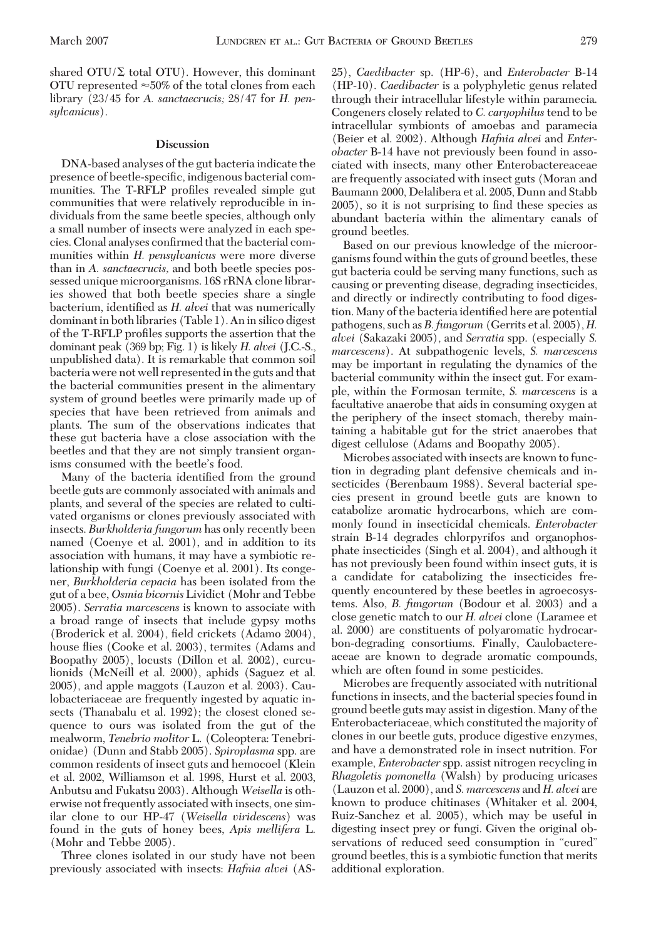shared  $\text{OTU}(\Sigma)$  total OTU). However, this dominant OTU represented  $\approx 50\%$  of the total clones from each library (23/45 for *A. sanctaecrucis;* 28/47 for *H. pensylvanicus*).

#### **Discussion**

DNA-based analyses of the gut bacteria indicate the presence of beetle-specific, indigenous bacterial communities. The T-RFLP profiles revealed simple gut communities that were relatively reproducible in individuals from the same beetle species, although only a small number of insects were analyzed in each species. Clonal analyses confirmed that the bacterial communities within *H. pensylvanicus* were more diverse than in *A. sanctaecrucis,* and both beetle species possessed unique microorganisms. 16S rRNA clone libraries showed that both beetle species share a single bacterium, identified as *H. alvei* that was numerically dominant in both libraries (Table 1). An in silico digest of the T-RFLP profiles supports the assertion that the dominant peak (369 bp; Fig. 1) is likely *H. alvei* (J.C.-S., unpublished data). It is remarkable that common soil bacteria were not well represented in the guts and that the bacterial communities present in the alimentary system of ground beetles were primarily made up of species that have been retrieved from animals and plants. The sum of the observations indicates that these gut bacteria have a close association with the beetles and that they are not simply transient organisms consumed with the beetle's food.

Many of the bacteria identified from the ground beetle guts are commonly associated with animals and plants, and several of the species are related to cultivated organisms or clones previously associated with insects. *Burkholderia fungorum* has only recently been named (Coenye et al. 2001), and in addition to its association with humans, it may have a symbiotic relationship with fungi (Coenye et al. 2001). Its congener, *Burkholderia cepacia* has been isolated from the gut of a bee, *Osmia bicornis* Lividict (Mohr and Tebbe 2005). *Serratia marcescens* is known to associate with a broad range of insects that include gypsy moths (Broderick et al. 2004), field crickets (Adamo 2004), house ßies (Cooke et al. 2003), termites (Adams and Boopathy 2005), locusts (Dillon et al. 2002), curculionids (McNeill et al. 2000), aphids (Saguez et al. 2005), and apple maggots (Lauzon et al. 2003). Caulobacteriaceae are frequently ingested by aquatic insects (Thanabalu et al. 1992); the closest cloned sequence to ours was isolated from the gut of the mealworm, *Tenebrio molitor* L. (Coleoptera: Tenebrionidae) (Dunn and Stabb 2005). *Spiroplasma* spp. are common residents of insect guts and hemocoel (Klein et al. 2002, Williamson et al. 1998, Hurst et al. 2003, Anbutsu and Fukatsu 2003). Although *Weisella* is otherwise not frequently associated with insects, one similar clone to our HP-47 (*Weisella viridescens*) was found in the guts of honey bees, *Apis mellifera* L. (Mohr and Tebbe 2005).

Three clones isolated in our study have not been previously associated with insects: *Hafnia alvei* (AS- 25), *Caedibacter* sp. (HP-6), and *Enterobacter* B-14 (HP-10). *Caedibacter* is a polyphyletic genus related through their intracellular lifestyle within paramecia. Congeners closely related to *C. caryophilus* tend to be intracellular symbionts of amoebas and paramecia (Beier et al. 2002). Although *Hafnia alvei* and *Enterobacter* B-14 have not previously been found in associated with insects, many other Enterobactereaceae are frequently associated with insect guts (Moran and Baumann 2000, Delalibera et al. 2005, Dunn and Stabb  $2005$ ), so it is not surprising to find these species as abundant bacteria within the alimentary canals of ground beetles.

Based on our previous knowledge of the microorganisms found within the guts of ground beetles, these gut bacteria could be serving many functions, such as causing or preventing disease, degrading insecticides, and directly or indirectly contributing to food digestion. Many of the bacteria identified here are potential pathogens, such as*B. fungorum* (Gerrits et al. 2005), *H. alvei* (Sakazaki 2005), and *Serratia* spp. (especially *S. marcescens*). At subpathogenic levels, *S. marcescens* may be important in regulating the dynamics of the bacterial community within the insect gut. For example, within the Formosan termite, *S. marcescens* is a facultative anaerobe that aids in consuming oxygen at the periphery of the insect stomach, thereby maintaining a habitable gut for the strict anaerobes that digest cellulose (Adams and Boopathy 2005).

Microbes associated with insects are known to function in degrading plant defensive chemicals and insecticides (Berenbaum 1988). Several bacterial species present in ground beetle guts are known to catabolize aromatic hydrocarbons, which are commonly found in insecticidal chemicals. *Enterobacter* strain B-14 degrades chlorpyrifos and organophosphate insecticides (Singh et al. 2004), and although it has not previously been found within insect guts, it is a candidate for catabolizing the insecticides frequently encountered by these beetles in agroecosystems. Also, *B. fungorum* (Bodour et al. 2003) and a close genetic match to our *H. alvei* clone (Laramee et al. 2000) are constituents of polyaromatic hydrocarbon-degrading consortiums. Finally, Caulobactereaceae are known to degrade aromatic compounds, which are often found in some pesticides.

Microbes are frequently associated with nutritional functions in insects, and the bacterial species found in ground beetle guts may assist in digestion. Many of the Enterobacteriaceae, which constituted the majority of clones in our beetle guts, produce digestive enzymes, and have a demonstrated role in insect nutrition. For example, *Enterobacter* spp. assist nitrogen recycling in *Rhagoletis pomonella* (Walsh) by producing uricases (Lauzon et al. 2000), and *S. marcescens* and *H. alvei* are known to produce chitinases (Whitaker et al. 2004, Ruiz-Sanchez et al. 2005), which may be useful in digesting insect prey or fungi. Given the original observations of reduced seed consumption in "cured" ground beetles, this is a symbiotic function that merits additional exploration.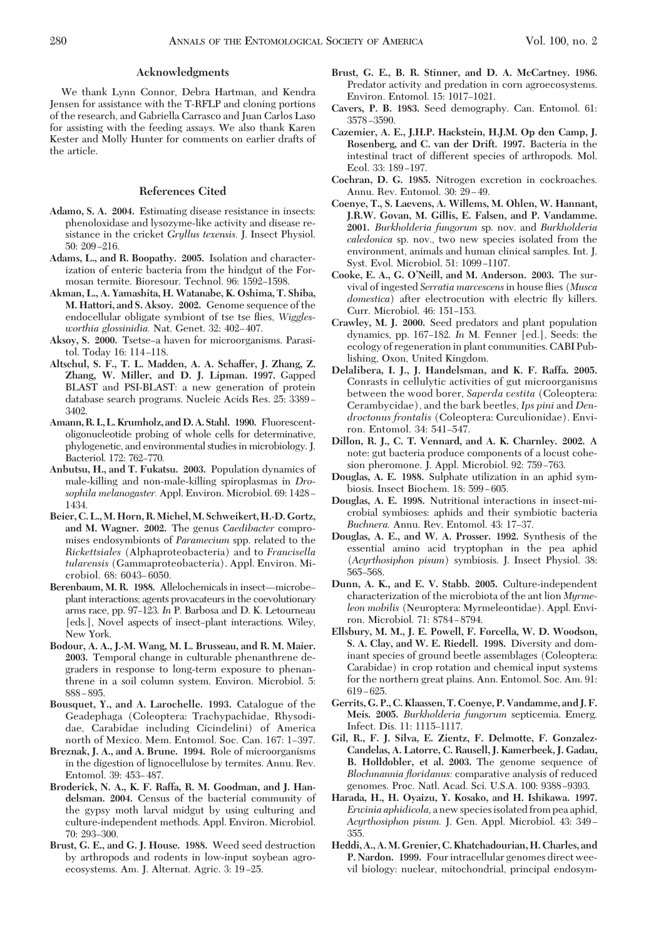# **Acknowledgments**

We thank Lynn Connor, Debra Hartman, and Kendra Jensen for assistance with the T-RFLP and cloning portions of the research, and Gabriella Carrasco and Juan Carlos Laso for assisting with the feeding assays. We also thank Karen Kester and Molly Hunter for comments on earlier drafts of the article.

### **References Cited**

- **Adamo, S. A. 2004.** Estimating disease resistance in insects: phenoloxidase and lysozyme-like activity and disease resistance in the cricket *Gryllus texensis.* J. Insect Physiol.  $50: 209 - 216.$
- **Adams, L., and R. Boopathy. 2005.** Isolation and characterization of enteric bacteria from the hindgut of the Formosan termite. Bioresour. Technol. 96: 1592-1598
- **Akman, L., A. Yamashita, H. Watanabe, K. Oshima, T. Shiba, M. Hattori, and S. Aksoy. 2002.** Genome sequence of the endocellular obligate symbiont of tse tse ßies, *Wigglesworthia glossinidia.* Nat. Genet. 32: 402-407.
- Aksoy, S. 2000. Tsetse–a haven for microorganisms. Parasitol. Today 16: 114-118.
- **Altschul, S. F., T. L. Madden, A. A. Schaffer, J. Zhang, Z. Zhang, W. Miller, and D. J. Lipman. 1997.** Gapped BLAST and PSI-BLAST: a new generation of protein database search programs. Nucleic Acids Res. 25: 3389 – 3402.
- **Amann, R. I.,L. Krumholz, andD.A. Stahl. 1990.** Fluorescentoligonucleotide probing of whole cells for determinative, phylogenetic, and environmental studies in microbiology. J. Bacteriol. 172: 762-770.
- **Anbutsu, H., and T. Fukatsu. 2003.** Population dynamics of male-killing and non-male-killing spiroplasmas in *Drosophila melanogaster.* Appl. Environ. Microbiol. 69: 1428 – 1434.
- **Beier, C. L., M. Horn, R. Michel, M. Schweikert, H.-D. Gortz, and M. Wagner. 2002.** The genus *Caedibacter* compromises endosymbionts of *Paramecium* spp. related to the *Rickettsiales* (Alphaproteobacteria) and to *Francisella tularensis* (Gammaproteobacteria). Appl. Environ. Microbiol. 68: 6043–6050.
- Berenbaum, M. R. 1988. Allelochemicals in insect-microbeplant interactions; agents provacateurs in the coevolutionary arms race, pp. 97–123. In P. Barbosa and D. K. Letourneau [eds.], Novel aspects of insect-plant interactions. Wiley, New York.
- **Bodour, A. A., J.-M. Wang, M. L. Brusseau, and R. M. Maier. 2003.** Temporal change in culturable phenanthrene degraders in response to long-term exposure to phenanthrene in a soil column system. Environ. Microbiol. 5:  $888 - 895.$
- **Bousquet, Y., and A. Larochelle. 1993.** Catalogue of the Geadephaga (Coleoptera: Trachypachidae, Rhysodidae, Carabidae including Cicindelini) of America north of Mexico. Mem. Entomol. Soc. Can. 167: 1-397.
- **Breznak, J. A., and A. Brune. 1994.** Role of microorganisms in the digestion of lignocellulose by termites. Annu. Rev. Entomol. 39: 453-487.
- **Broderick, N. A., K. F. Raffa, R. M. Goodman, and J. Handelsman. 2004.** Census of the bacterial community of the gypsy moth larval midgut by using culturing and culture-independent methods. Appl. Environ. Microbiol. 70: 293-300.
- **Brust, G. E., and G. J. House. 1988.** Weed seed destruction by arthropods and rodents in low-input soybean agroecosystems. Am. J. Alternat. Agric. 3: 19–25.
- **Brust, G. E., B. R. Stinner, and D. A. McCartney. 1986.** Predator activity and predation in corn agroecosystems. Environ. Entomol. 15: 1017-1021.
- **Cavers, P. B. 1983.** Seed demography. Can. Entomol. 61: 3578-3590.
- **Cazemier, A. E., J.H.P. Hackstein, H.J.M. Op den Camp, J. Rosenberg, and C. van der Drift. 1997.** Bacteria in the intestinal tract of different species of arthropods. Mol. Ecol. 33: 189-197.
- **Cochran, D. G. 1985.** Nitrogen excretion in cockroaches. Annu. Rev. Entomol. 30: 29-49.
- **Coenye, T., S. Laevens, A. Willems, M. Ohlen, W. Hannant, J.R.W. Govan, M. Gillis, E. Falsen, and P. Vandamme. 2001.** *Burkholderia fungorum* sp. nov. and *Burkholderia caledonica* sp. nov., two new species isolated from the environment, animals and human clinical samples. Int. J. Syst. Evol. Microbiol. 51: 1099-1107.
- **Cooke, E. A., G. O'Neill, and M. Anderson. 2003.** The survival of ingested *Serratia marcescens*in house ßies (*Musca domestica*) after electrocution with electric ßy killers. Curr. Microbiol. 46: 151-153.
- **Crawley, M. J. 2000.** Seed predators and plant population dynamics, pp. 167-182. *In* M. Fenner [ed.], Seeds: the ecology of regeneration in plant communities. CABI Publishing, Oxon, United Kingdom.
- **Delalibera, I. J., J. Handelsman, and K. F. Raffa. 2005.** Conrasts in cellulytic activities of gut microorganisms between the wood borer, *Saperda vestita* (Coleoptera: Cerambycidae), and the bark beetles, *Ips pini* and *Dendroctonus frontalis* (Coleoptera: Curculionidae). Environ. Entomol. 34: 541-547.
- **Dillon, R. J., C. T. Vennard, and A. K. Charnley. 2002.** A note: gut bacteria produce components of a locust cohesion pheromone. J. Appl. Microbiol. 92: 759–763.
- **Douglas, A. E. 1988.** Sulphate utilization in an aphid symbiosis. Insect Biochem. 18: 599-605.
- **Douglas, A. E. 1998.** Nutritional interactions in insect-microbial symbioses: aphids and their symbiotic bacteria *Buchnera.* Annu. Rev. Entomol. 43: 17-37.
- **Douglas, A. E., and W. A. Prosser. 1992.** Synthesis of the essential amino acid tryptophan in the pea aphid (*Acyrthosiphon pisum*) symbiosis. J. Insect Physiol. 38: 565-568.
- **Dunn, A. K., and E. V. Stabb. 2005.** Culture-independent characterization of the microbiota of the ant lion *Myrmeleon mobilis* (Neuroptera: Myrmeleontidae). Appl. Environ. Microbiol. 71: 8784-8794.
- **Ellsbury, M. M., J. E. Powell, F. Forcella, W. D. Woodson, S. A. Clay, and W. E. Riedell. 1998.** Diversity and dominant species of ground beetle assemblages (Coleoptera: Carabidae) in crop rotation and chemical input systems for the northern great plains. Ann. Entomol. Soc. Am. 91:  $619 - 625.$
- **Gerrits, G. P., C. Klaassen, T. Coenye, P. Vandamme, and J. F. Meis. 2005.** *Burkholderia fungorum* septicemia. Emerg. Infect. Dis. 11: 1115-1117.
- **Gil, R., F. J. Silva, E. Zientz, F. Delmotte, F. Gonzalez-Candelas, A. Latorre, C. Rausell, J. Kamerbeek, J. Gadau, B. Holldobler, et al. 2003.** The genome sequence of *Blochmannia floridanus:* comparative analysis of reduced genomes. Proc. Natl. Acad. Sci. U.S.A. 100: 9388-9393.
- **Harada, H., H. Oyaizu, Y. Kosako, and H. Ishikawa. 1997.** *Erwinia aphidicola,* a new species isolated from pea aphid, Acyrthosiphon pisum. J. Gen. Appl. Microbiol. 43: 349-355.
- **Heddi, A., A.M. Grenier, C. Khatchadourian, H. Charles, and P. Nardon. 1999.** Four intracellular genomes direct weevil biology: nuclear, mitochondrial, principal endosym-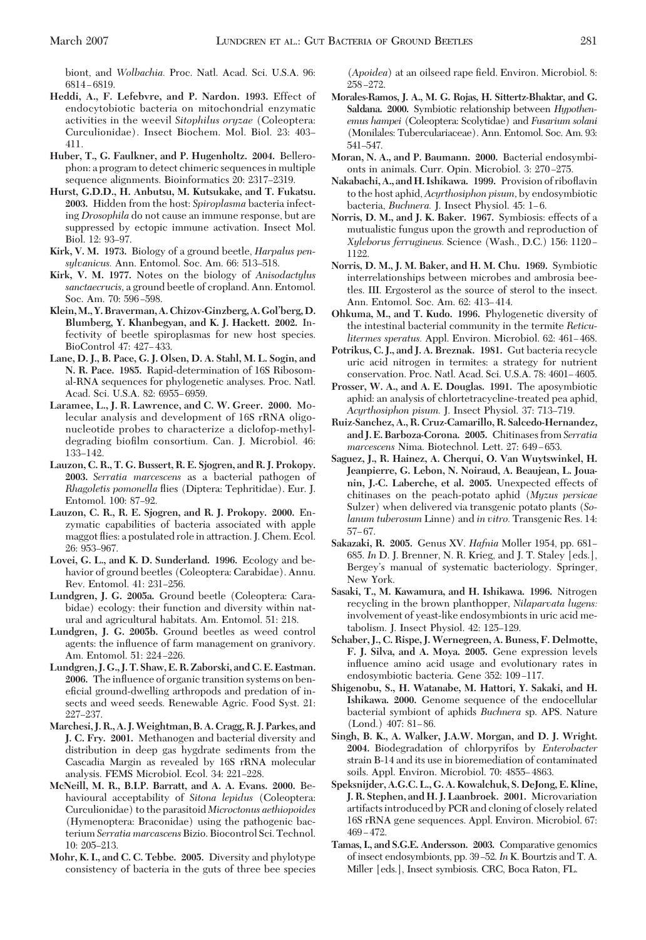biont, and *Wolbachia.* Proc. Natl. Acad. Sci. U.S.A. 96: 6814-6819.

- **Heddi, A., F. Lefebvre, and P. Nardon. 1993.** Effect of endocytobiotic bacteria on mitochondrial enzymatic activities in the weevil *Sitophilus oryzae* (Coleoptera: Curculionidae). Insect Biochem. Mol. Biol. 23: 403– 411.
- **Huber, T., G. Faulkner, and P. Hugenholtz. 2004.** Bellerophon: a program to detect chimeric sequences in multiple sequence alignments. Bioinformatics 20: 2317–2319.
- **Hurst, G.D.D., H. Anbutsu, M. Kutsukake, and T. Fukatsu. 2003.** Hidden from the host: *Spiroplasma* bacteria infecting *Drosophila* do not cause an immune response, but are suppressed by ectopic immune activation. Insect Mol. Biol. 12: 93-97.
- **Kirk, V. M. 1973.** Biology of a ground beetle, *Harpalus pen*sylvanicus. Ann. Entomol. Soc. Am. 66: 513-518.
- **Kirk, V. M. 1977.** Notes on the biology of *Anisodactylus sanctaecrucis,* a ground beetle of cropland. Ann. Entomol. Soc. Am. 70: 596-598.
- **Klein,M., Y. Braverman,A. Chizov-Ginzberg,A. Gol'berg,D. Blumberg, Y. Khanbegyan, and K. J. Hackett. 2002.** Infectivity of beetle spiroplasmas for new host species. BioControl 47: 427–433.
- **Lane, D. J., B. Pace, G. J. Olsen, D. A. Stahl, M. L. Sogin, and N. R. Pace. 1985.** Rapid-determination of 16S Ribosomal-RNA sequences for phylogenetic analyses. Proc. Natl. Acad. Sci. U.S.A. 82: 6955-6959.
- **Laramee, L., J. R. Lawrence, and C. W. Greer. 2000.** Molecular analysis and development of 16S rRNA oligonucleotide probes to characterize a diclofop-methyldegrading biofilm consortium. Can. J. Microbiol. 46: 133-142.
- **Lauzon, C. R., T. G. Bussert, R. E. Sjogren, and R. J. Prokopy. 2003.** *Serratia marcescens* as a bacterial pathogen of *Rhagoletis pomonella* ßies (Diptera: Tephritidae). Eur. J. Entomol. 100: 87-92.
- **Lauzon, C. R., R. E. Sjogren, and R. J. Prokopy. 2000.** Enzymatic capabilities of bacteria associated with apple maggot ßies: a postulated role in attraction. J. Chem. Ecol. 26: 953-967.
- **Lovei, G. L., and K. D. Sunderland. 1996.** Ecology and behavior of ground beetles (Coleoptera: Carabidae). Annu. Rev. Entomol. 41: 231-256.
- **Lundgren, J. G. 2005a.** Ground beetle (Coleoptera: Carabidae) ecology: their function and diversity within natural and agricultural habitats. Am. Entomol. 51: 218.
- **Lundgren, J. G. 2005b.** Ground beetles as weed control agents: the inßuence of farm management on granivory. Am. Entomol. 51: 224-226.
- **Lundgren, J. G., J. T. Shaw, E. R. Zaborski, and C. E. Eastman. 2006.** The inßuence of organic transition systems on beneficial ground-dwelling arthropods and predation of insects and weed seeds. Renewable Agric. Food Syst. 21: 227-237.
- **Marchesi, J. R., A. J.Weightman, B. A. Cragg, R. J. Parkes, and J. C. Fry. 2001.** Methanogen and bacterial diversity and distribution in deep gas hygdrate sediments from the Cascadia Margin as revealed by 16S rRNA molecular analysis. FEMS Microbiol. Ecol. 34: 221-228.
- **McNeill, M. R., B.I.P. Barratt, and A. A. Evans. 2000.** Behavioural acceptability of *Sitona lepidus* (Coleoptera: Curculionidae) to the parasitoid *Microctonus aethiopoides* (Hymenoptera: Braconidae) using the pathogenic bacterium *Serratia marcascens*Bizio. Biocontrol Sci. Technol. 10: 205–213.
- **Mohr, K. I., and C. C. Tebbe. 2005.** Diversity and phylotype consistency of bacteria in the guts of three bee species

(*Apoidea*) at an oilseed rape field. Environ. Microbiol. 8: 258-272.

- **Morales-Ramos, J. A., M. G. Rojas, H. Sittertz-Bhaktar, and G. Saldana. 2000.** Symbiotic relationship between *Hypothenemus hampei* (Coleoptera: Scolytidae) and *Fusarium solani* (Monilales: Tuberculariaceae). Ann. Entomol. Soc. Am. 93: 541–547.
- **Moran, N. A., and P. Baumann. 2000.** Bacterial endosymbionts in animals. Curr. Opin. Microbiol. 3: 270-275.
- **Nakabachi, A., and H. Ishikawa. 1999.** Provision of riboßavin to the host aphid, *Acyrthosiphon pisum,* by endosymbiotic bacteria, *Buchnera*. J. Insect Physiol. 45: 1-6.
- **Norris, D. M., and J. K. Baker. 1967.** Symbiosis: effects of a mutualistic fungus upon the growth and reproduction of *Xyleborus ferrugineus.* Science (Wash., D.C.) 156: 1120-1122.
- **Norris, D. M., J. M. Baker, and H. M. Chu. 1969.** Symbiotic interrelationships between microbes and ambrosia beetles. III. Ergosterol as the source of sterol to the insect. Ann. Entomol. Soc. Am. 62: 413-414.
- **Ohkuma, M., and T. Kudo. 1996.** Phylogenetic diversity of the intestinal bacterial community in the termite *Reticulitermes speratus.* Appl. Environ. Microbiol. 62: 461–468.
- **Potrikus, C. J., and J. A. Breznak. 1981.** Gut bacteria recycle uric acid nitrogen in termites: a strategy for nutrient conservation. Proc. Natl. Acad. Sci. U.S.A. 78: 4601-4605.
- **Prosser, W. A., and A. E. Douglas. 1991.** The aposymbiotic aphid: an analysis of chlortetracycline-treated pea aphid, *Acyrthosiphon pisum.* J. Insect Physiol. 37: 713-719.
- **Ruiz-Sanchez, A., R. Cruz-Camarillo, R. Salcedo-Hernandez, and J. E. Barboza-Corona. 2005.** Chitinases from *Serratia* marcescens Nima. Biotechnol. Lett. 27: 649-653.
- **Saguez, J., R. Hainez, A. Cherqui, O. Van Wuytswinkel, H. Jeanpierre, G. Lebon, N. Noiraud, A. Beaujean, L. Jouanin, J.-C. Laberche, et al. 2005.** Unexpected effects of chitinases on the peach-potato aphid (*Myzus persicae* Sulzer) when delivered via transgenic potato plants (*Solanum tuberosum* Linne) and *in vitro.* Transgenic Res. 14:  $57-67.$
- Sakazaki, R. 2005. Genus XV. *Hafnia* Moller 1954, pp. 681– 685. *In* D. J. Brenner, N. R. Krieg, and J. T. Staley [eds.], Bergey's manual of systematic bacteriology. Springer, New York.
- **Sasaki, T., M. Kawamura, and H. Ishikawa. 1996.** Nitrogen recycling in the brown planthopper, *Nilaparvata lugens:* involvement of yeast-like endosymbionts in uric acid metabolism. J. Insect Physiol. 42: 125-129.
- **Schaber, J., C. Rispe, J. Wernegreen, A. Buness, F. Delmotte, F. J. Silva, and A. Moya. 2005.** Gene expression levels inßuence amino acid usage and evolutionary rates in endosymbiotic bacteria. Gene 352: 109-117.
- **Shigenobu, S., H. Watanabe, M. Hattori, Y. Sakaki, and H. Ishikawa. 2000.** Genome sequence of the endocellular bacterial symbiont of aphids *Buchnera* sp. APS. Nature  $(Lond.) 407: 81-86.$
- **Singh, B. K., A. Walker, J.A.W. Morgan, and D. J. Wright. 2004.** Biodegradation of chlorpyrifos by *Enterobacter* strain B-14 and its use in bioremediation of contaminated soils. Appl. Environ. Microbiol. 70: 4855-4863.
- **Speksnijder, A.G.C. L., G. A. Kowalchuk, S. DeJong, E. Kline, J. R. Stephen, and H. J. Laanbroek. 2001.** Microvariation artifacts introduced by PCR and cloning of closely related 16S rRNA gene sequences. Appl. Environ. Microbiol. 67:  $469 - 472$
- **Tamas, I., and S.G.E. Andersson. 2003.** Comparative genomics of insect endosymbionts, pp. 39–52. In K. Bourtzis and T. A. Miller [eds.], Insect symbiosis. CRC, Boca Raton, FL.